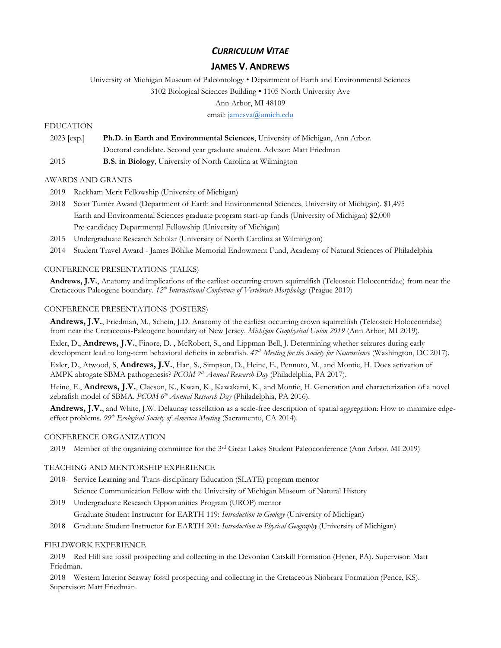# *CURRICULUM VITAE*

# **JAMES V. ANDREWS**

University of Michigan Museum of Paleontology • Department of Earth and Environmental Sciences

3102 Biological Sciences Building • 1105 North University Ave

Ann Arbor, MI 48109

email[: jamesva@umich.edu](mailto:jamesva@umich.edu)

## EDUCATION

2023 [exp.] **Ph.D. in Earth and Environmental Sciences**, University of Michigan, Ann Arbor.

Doctoral candidate. Second year graduate student. Advisor: Matt Friedman

2015 **B.S. in Biology**, University of North Carolina at Wilmington

## AWARDS AND GRANTS

- 2019 Rackham Merit Fellowship (University of Michigan)
- 2018 Scott Turner Award (Department of Earth and Environmental Sciences, University of Michigan). \$1,495 Earth and Environmental Sciences graduate program start-up funds (University of Michigan) \$2,000 Pre-candidacy Departmental Fellowship (University of Michigan)
- 2015 Undergraduate Research Scholar (University of North Carolina at Wilmington)
- 2014 Student Travel Award James Böhlke Memorial Endowment Fund, Academy of Natural Sciences of Philadelphia

#### CONFERENCE PRESENTATIONS (TALKS)

**Andrews, J.V.**, Anatomy and implications of the earliest occurring crown squirrelfish (Teleostei: Holocentridae) from near the Cretaceous-Paleogene boundary. *12th International Conference of Vertebrate Morphology* (Prague 2019)

#### CONFERENCE PRESENTATIONS (POSTERS)

**Andrews, J.V.**, Friedman, M., Schein, J.D. Anatomy of the earliest occurring crown squirrelfish (Teleostei: Holocentridae) from near the Cretaceous-Paleogene boundary of New Jersey. *Michigan Geophysical Union 2019* (Ann Arbor, MI 2019).

Exler, D., **Andrews, J.V.**, Finore, D. , McRobert, S., and Lippman-Bell, J. Determining whether seizures during early development lead to long-term behavioral deficits in zebrafish. *47th Meeting for the Society for Neuroscience* (Washington, DC 2017).

Exler, D., Atwood, S, **Andrews, J.V.**, Han, S., Simpson, D., Heine, E., Pennuto, M., and Montie, H. Does activation of AMPK abrogate SBMA pathogenesis? *PCOM 7th Annual Research Day* (Philadelphia, PA 2017).

Heine, E., **Andrews, J.V.**, Claeson, K., Kwan, K., Kawakami, K., and Montie, H. Generation and characterization of a novel zebrafish model of SBMA. *PCOM 6th Annual Research Day* (Philadelphia, PA 2016).

Andrews, J.V., and White, J.W. Delaunay tessellation as a scale-free description of spatial aggregation: How to minimize edgeeffect problems. *99th Ecological Society of America Meeting* (Sacramento, CA 2014).

#### CONFERENCE ORGANIZATION

2019 Member of the organizing committee for the 3rd Great Lakes Student Paleoconference (Ann Arbor, MI 2019)

## TEACHING AND MENTORSHIP EXPERIENCE

- 2018- Service Learning and Trans-disciplinary Education (SLATE) program mentor Science Communication Fellow with the University of Michigan Museum of Natural History
- 2019 Undergraduate Research Opportunities Program (UROP) mentor

Graduate Student Instructor for EARTH 119: *Introduction to Geology* (University of Michigan)

2018 Graduate Student Instructor for EARTH 201: *Introduction to Physical Geography* (University of Michigan)

# FIELDWORK EXPERIENCE

2019 Red Hill site fossil prospecting and collecting in the Devonian Catskill Formation (Hyner, PA). Supervisor: Matt Friedman.

2018 Western Interior Seaway fossil prospecting and collecting in the Cretaceous Niobrara Formation (Pence, KS). Supervisor: Matt Friedman.